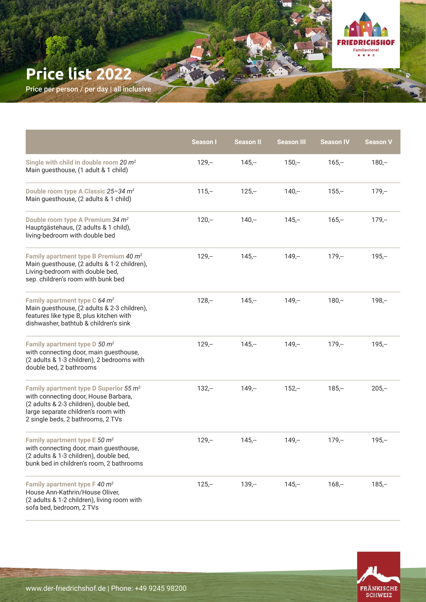## **Price list 2022**

Price per person / per day | all inclusive

|                                                                                                                                                                                                                  | <b>Season I</b> | Season II | <b>Season III</b> | <b>Season IV</b> | <b>Season V</b> |
|------------------------------------------------------------------------------------------------------------------------------------------------------------------------------------------------------------------|-----------------|-----------|-------------------|------------------|-----------------|
| Single with child in double room 20 $m^2$<br>Main guesthouse, (1 adult & 1 child)                                                                                                                                | $129 -$         | $145 -$   | $150 -$           | $165 -$          | $180 -$         |
| Double room type A Classic 25-34 m <sup>2</sup><br>Main guesthouse, (2 adults & 1 child)                                                                                                                         | $115,-$         | $125 -$   | $140 -$           | $155 -$          | $179 -$         |
| Double room type A Premium 34 m <sup>2</sup><br>Hauptgästehaus, (2 adults & 1 child),<br>living-bedroom with double bed                                                                                          | $120 -$         | $140 -$   | $145 -$           | $165 -$          | $179 -$         |
| Family apartment type B Premium 40 m <sup>2</sup><br>Main guesthouse, (2 adults & 1-2 children),<br>Living-bedroom with double bed,<br>sep. children's room with bunk bed                                        | $129 -$         | $145 -$   | $149 -$           | $179 -$          | $195 -$         |
| Family apartment type C 64 m <sup>2</sup><br>Main guesthouse, (2 adults & 2-3 children),<br>features like type B, plus kitchen with<br>dishwasher, bathtub & children's sink                                     | $128 -$         | $145 -$   | $149 -$           | $180 -$          | $198 -$         |
| Family apartment type $D$ 50 $m^2$<br>with connecting door, main guesthouse,<br>(2 adults & 1-3 children), 2 bedrooms with<br>double bed, 2 bathrooms                                                            | $129 -$         | $145 -$   | $149 -$           | $179 -$          | $195 -$         |
| Family apartment type D Superior 55 m <sup>2</sup><br>with connecting door, House Barbara,<br>(2 adults & 2-3 children), double bed,<br>large separate children's room with<br>2 single beds, 2 bathrooms, 2 TVs | $132 -$         | $149,-$   | $152 -$           | $185 -$          | $205 -$         |
| Family apartment type E 50 $m^2$<br>with connecting door, main guesthouse,<br>(2 adults & 1-3 children), double bed,<br>bunk bed in children's room, 2 bathrooms                                                 | $129 -$         | $145 -$   | $149 -$           | $179 -$          | $195 -$         |
| Family apartment type $F$ 40 $m^2$<br>House Ann-Kathrin/House Oliver,<br>(2 adults & 1-2 children), living room with<br>sofa bed, bedroom, 2 TVs                                                                 | $125 -$         | $139 -$   | $145 -$           | $168 -$          | $185 -$         |



**FRIEDRICHSHOF** Familienhotel<br> $\star \star \star$  s